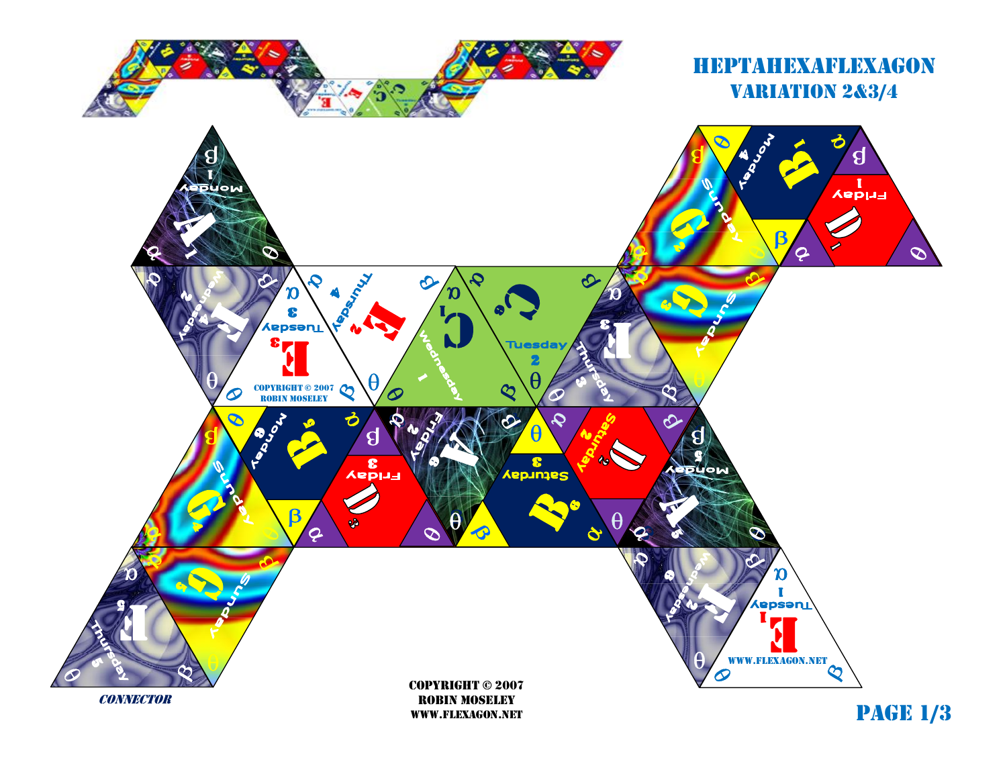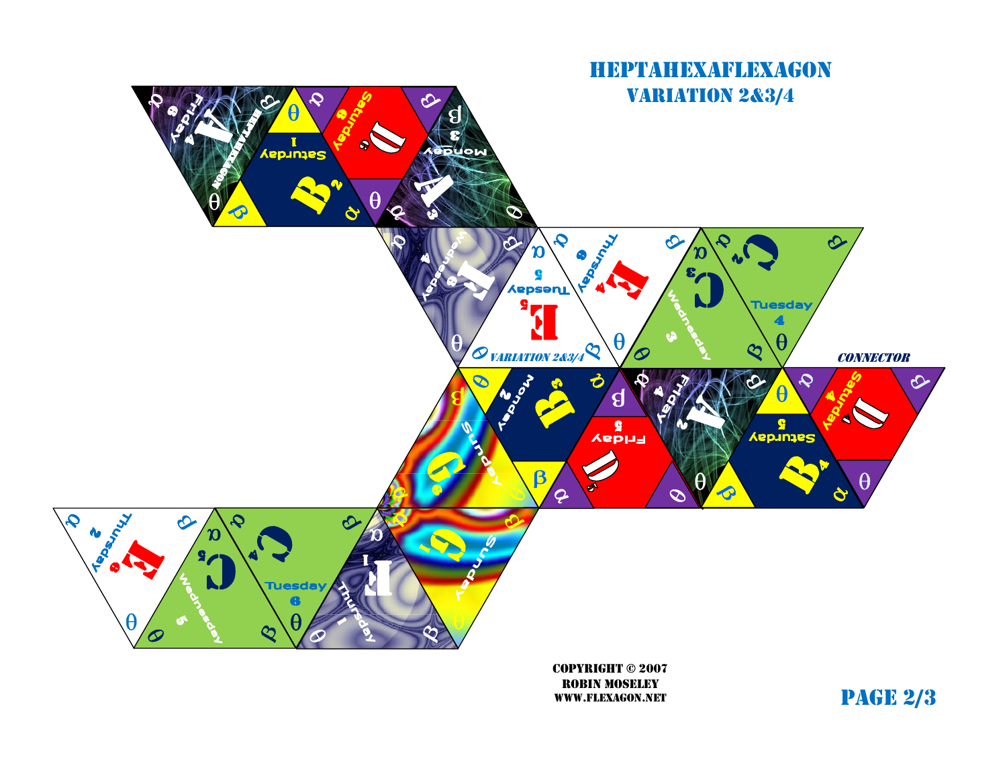

robin moseley www.flexagon.net

page 2/3